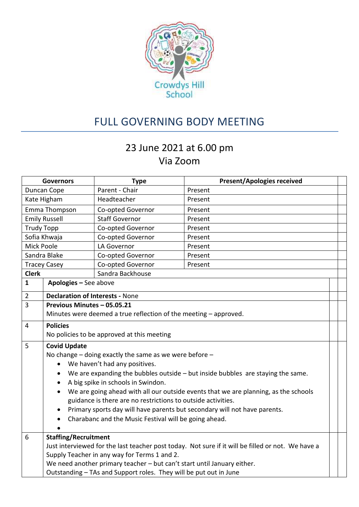

## FULL GOVERNING BODY MEETING

## 23 June 2021 at 6.00 pm Via Zoom

| <b>Governors</b>     |                                                                                                   | <b>Type</b>                                                | <b>Present/Apologies received</b>                                                 |  |  |  |  |
|----------------------|---------------------------------------------------------------------------------------------------|------------------------------------------------------------|-----------------------------------------------------------------------------------|--|--|--|--|
| Duncan Cope          |                                                                                                   | Parent - Chair                                             | Present                                                                           |  |  |  |  |
| Kate Higham          |                                                                                                   | Headteacher                                                | Present                                                                           |  |  |  |  |
| Emma Thompson        |                                                                                                   | Co-opted Governor                                          | Present                                                                           |  |  |  |  |
| <b>Emily Russell</b> |                                                                                                   | <b>Staff Governor</b>                                      | Present                                                                           |  |  |  |  |
| <b>Trudy Topp</b>    |                                                                                                   | Co-opted Governor                                          | Present                                                                           |  |  |  |  |
| Sofia Khwaja         |                                                                                                   | Co-opted Governor                                          | Present                                                                           |  |  |  |  |
| Mick Poole           |                                                                                                   | <b>LA Governor</b>                                         | Present                                                                           |  |  |  |  |
| Sandra Blake         |                                                                                                   | Co-opted Governor                                          | Present                                                                           |  |  |  |  |
| <b>Tracey Casey</b>  |                                                                                                   | Co-opted Governor                                          | Present                                                                           |  |  |  |  |
| <b>Clerk</b>         |                                                                                                   | Sandra Backhouse                                           |                                                                                   |  |  |  |  |
| $\mathbf{1}$         | Apologies - See above                                                                             |                                                            |                                                                                   |  |  |  |  |
| $\overline{2}$       | <b>Declaration of Interests - None</b>                                                            |                                                            |                                                                                   |  |  |  |  |
| $\overline{3}$       | Previous Minutes - 05.05.21                                                                       |                                                            |                                                                                   |  |  |  |  |
|                      | Minutes were deemed a true reflection of the meeting - approved.                                  |                                                            |                                                                                   |  |  |  |  |
| $\overline{4}$       | <b>Policies</b>                                                                                   |                                                            |                                                                                   |  |  |  |  |
|                      | No policies to be approved at this meeting                                                        |                                                            |                                                                                   |  |  |  |  |
| 5                    | <b>Covid Update</b>                                                                               |                                                            |                                                                                   |  |  |  |  |
|                      |                                                                                                   | No change $-$ doing exactly the same as we were before $-$ |                                                                                   |  |  |  |  |
|                      | $\bullet$                                                                                         | We haven't had any positives.                              |                                                                                   |  |  |  |  |
|                      | $\bullet$                                                                                         |                                                            | We are expanding the bubbles outside $-$ but inside bubbles are staying the same. |  |  |  |  |
|                      |                                                                                                   | A big spike in schools in Swindon.                         |                                                                                   |  |  |  |  |
|                      | We are going ahead with all our outside events that we are planning, as the schools               |                                                            |                                                                                   |  |  |  |  |
|                      | guidance is there are no restrictions to outside activities.                                      |                                                            |                                                                                   |  |  |  |  |
|                      | Primary sports day will have parents but secondary will not have parents.<br>$\bullet$            |                                                            |                                                                                   |  |  |  |  |
|                      | $\bullet$                                                                                         | Charabanc and the Music Festival will be going ahead.      |                                                                                   |  |  |  |  |
|                      |                                                                                                   |                                                            |                                                                                   |  |  |  |  |
| 6                    | <b>Staffing/Recruitment</b>                                                                       |                                                            |                                                                                   |  |  |  |  |
|                      | Just interviewed for the last teacher post today. Not sure if it will be filled or not. We have a |                                                            |                                                                                   |  |  |  |  |
|                      | Supply Teacher in any way for Terms 1 and 2.                                                      |                                                            |                                                                                   |  |  |  |  |
|                      | We need another primary teacher - but can't start until January either.                           |                                                            |                                                                                   |  |  |  |  |
|                      | Outstanding - TAs and Support roles. They will be put out in June                                 |                                                            |                                                                                   |  |  |  |  |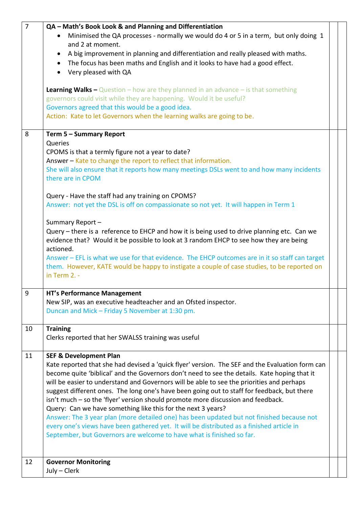| $\overline{7}$       | QA - Math's Book Look & and Planning and Differentiation                                                                                                  |  |  |  |  |
|----------------------|-----------------------------------------------------------------------------------------------------------------------------------------------------------|--|--|--|--|
|                      | Minimised the QA processes - normally we would do 4 or 5 in a term, but only doing 1<br>and 2 at moment.                                                  |  |  |  |  |
|                      | A big improvement in planning and differentiation and really pleased with maths.<br>$\bullet$                                                             |  |  |  |  |
|                      | The focus has been maths and English and it looks to have had a good effect.<br>$\bullet$                                                                 |  |  |  |  |
| Very pleased with QA |                                                                                                                                                           |  |  |  |  |
|                      |                                                                                                                                                           |  |  |  |  |
|                      | <b>Learning Walks –</b> Question – how are they planned in an advance – is that something                                                                 |  |  |  |  |
|                      | governors could visit while they are happening. Would it be useful?                                                                                       |  |  |  |  |
|                      | Governors agreed that this would be a good idea.                                                                                                          |  |  |  |  |
|                      | Action: Kate to let Governors when the learning walks are going to be.                                                                                    |  |  |  |  |
|                      |                                                                                                                                                           |  |  |  |  |
| 8                    | Term 5 - Summary Report<br>Queries                                                                                                                        |  |  |  |  |
|                      | CPOMS is that a termly figure not a year to date?                                                                                                         |  |  |  |  |
|                      | Answer - Kate to change the report to reflect that information.                                                                                           |  |  |  |  |
|                      | She will also ensure that it reports how many meetings DSLs went to and how many incidents                                                                |  |  |  |  |
|                      | there are in CPOM                                                                                                                                         |  |  |  |  |
|                      |                                                                                                                                                           |  |  |  |  |
|                      | Query - Have the staff had any training on CPOMS?                                                                                                         |  |  |  |  |
|                      | Answer: not yet the DSL is off on compassionate so not yet. It will happen in Term 1                                                                      |  |  |  |  |
|                      |                                                                                                                                                           |  |  |  |  |
|                      | Summary Report-<br>Query - there is a reference to EHCP and how it is being used to drive planning etc. Can we                                            |  |  |  |  |
|                      | evidence that? Would it be possible to look at 3 random EHCP to see how they are being                                                                    |  |  |  |  |
|                      | actioned.                                                                                                                                                 |  |  |  |  |
|                      | Answer - EFL is what we use for that evidence. The EHCP outcomes are in it so staff can target                                                            |  |  |  |  |
|                      | them. However, KATE would be happy to instigate a couple of case studies, to be reported on                                                               |  |  |  |  |
|                      | in Term $2. -$                                                                                                                                            |  |  |  |  |
|                      |                                                                                                                                                           |  |  |  |  |
| 9                    | <b>HT's Performance Management</b>                                                                                                                        |  |  |  |  |
|                      | New SIP, was an executive headteacher and an Ofsted inspector.                                                                                            |  |  |  |  |
|                      | Duncan and Mick - Friday 5 November at 1:30 pm.                                                                                                           |  |  |  |  |
| 10                   | <b>Training</b>                                                                                                                                           |  |  |  |  |
|                      | Clerks reported that her SWALSS training was useful                                                                                                       |  |  |  |  |
|                      |                                                                                                                                                           |  |  |  |  |
| 11                   | <b>SEF &amp; Development Plan</b>                                                                                                                         |  |  |  |  |
|                      | Kate reported that she had devised a 'quick flyer' version. The SEF and the Evaluation form can                                                           |  |  |  |  |
|                      | become quite 'biblical' and the Governors don't need to see the details. Kate hoping that it                                                              |  |  |  |  |
|                      | will be easier to understand and Governors will be able to see the priorities and perhaps                                                                 |  |  |  |  |
|                      | suggest different ones. The long one's have been going out to staff for feedback, but there                                                               |  |  |  |  |
|                      | isn't much – so the 'flyer' version should promote more discussion and feedback.                                                                          |  |  |  |  |
|                      | Query: Can we have something like this for the next 3 years?<br>Answer: The 3 year plan (more detailed one) has been updated but not finished because not |  |  |  |  |
|                      | every one's views have been gathered yet. It will be distributed as a finished article in                                                                 |  |  |  |  |
|                      | September, but Governors are welcome to have what is finished so far.                                                                                     |  |  |  |  |
|                      |                                                                                                                                                           |  |  |  |  |
|                      |                                                                                                                                                           |  |  |  |  |
| 12                   | <b>Governor Monitoring</b>                                                                                                                                |  |  |  |  |
|                      | July - Clerk                                                                                                                                              |  |  |  |  |